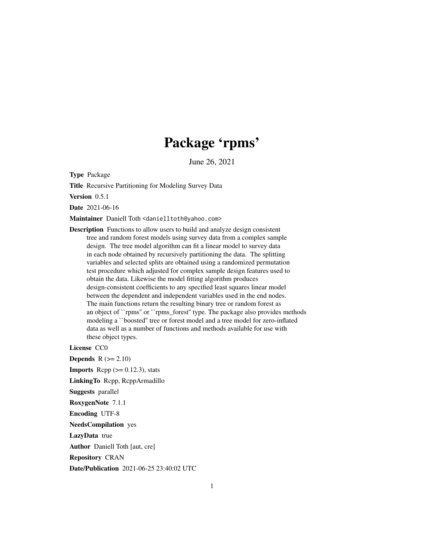# Package 'rpms'

June 26, 2021

Type Package

Title Recursive Partitioning for Modeling Survey Data

Version 0.5.1

Date 2021-06-16

Maintainer Daniell Toth <danielltoth@yahoo.com>

Description Functions to allow users to build and analyze design consistent tree and random forest models using survey data from a complex sample design. The tree model algorithm can fit a linear model to survey data in each node obtained by recursively partitioning the data. The splitting variables and selected splits are obtained using a randomized permutation test procedure which adjusted for complex sample design features used to obtain the data. Likewise the model fitting algorithm produces design-consistent coefficients to any specified least squares linear model between the dependent and independent variables used in the end nodes. The main functions return the resulting binary tree or random forest as an object of ``rpms'' or ``rpms\_forest'' type. The package also provides methods modeling a ``boosted'' tree or forest model and a tree model for zero-inflated data as well as a number of functions and methods available for use with these object types.

License CC0

Depends  $R (= 2.10)$ 

```
Imports Rcpp (>= 0.12.3), stats
```
LinkingTo Rcpp, RcppArmadillo

Suggests parallel

RoxygenNote 7.1.1

Encoding UTF-8

NeedsCompilation yes

LazyData true

Author Daniell Toth [aut, cre]

Repository CRAN

Date/Publication 2021-06-25 23:40:02 UTC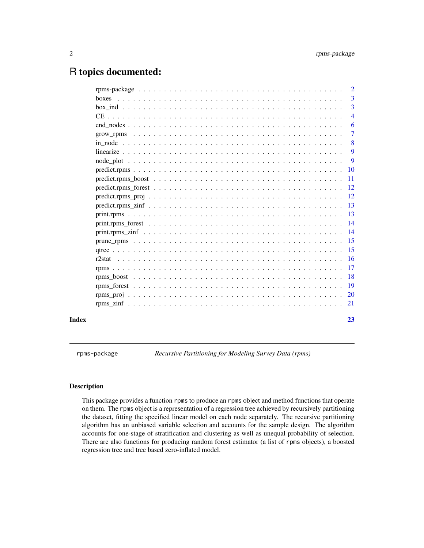# <span id="page-1-0"></span>R topics documented:

|       | $\overline{\phantom{0}}^2$ |
|-------|----------------------------|
|       | $\overline{3}$             |
|       | $\overline{3}$             |
|       | $\overline{4}$             |
|       | 6                          |
|       | -7                         |
|       | -8                         |
|       | 9                          |
|       | -9                         |
|       |                            |
|       |                            |
|       |                            |
|       |                            |
|       |                            |
|       |                            |
|       |                            |
|       |                            |
|       |                            |
|       |                            |
|       |                            |
|       |                            |
|       |                            |
|       |                            |
|       |                            |
|       |                            |
| Index | 23                         |

rpms-package *Recursive Partitioning for Modeling Survey Data (rpms)*

# Description

This package provides a function rpms to produce an rpms object and method functions that operate on them. The rpms object is a representation of a regression tree achieved by recursively partitioning the dataset, fitting the specified linear model on each node separately. The recursive partitioning algorithm has an unbiased variable selection and accounts for the sample design. The algorithm accounts for one-stage of stratification and clustering as well as unequal probability of selection. There are also functions for producing random forest estimator (a list of rpms objects), a boosted regression tree and tree based zero-inflated model.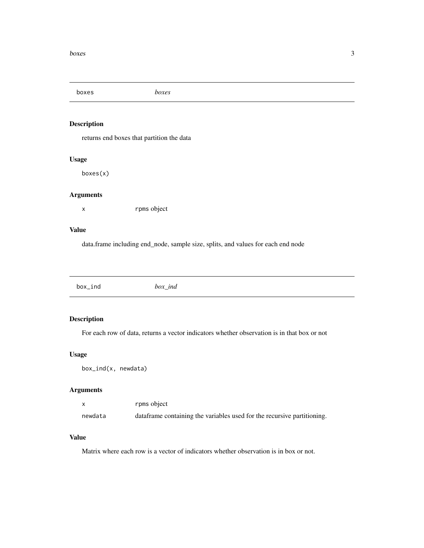<span id="page-2-0"></span>boxes *boxes*

# Description

returns end boxes that partition the data

# Usage

boxes(x)

#### Arguments

x rpms object

#### Value

data.frame including end\_node, sample size, splits, and values for each end node

| box_ind<br>box ind<br><u> —</u> |
|---------------------------------|

# Description

For each row of data, returns a vector indicators whether observation is in that box or not

# Usage

box\_ind(x, newdata)

# Arguments

|         | rpms object                                                             |
|---------|-------------------------------------------------------------------------|
| newdata | dataframe containing the variables used for the recursive partitioning. |

#### Value

Matrix where each row is a vector of indicators whether observation is in box or not.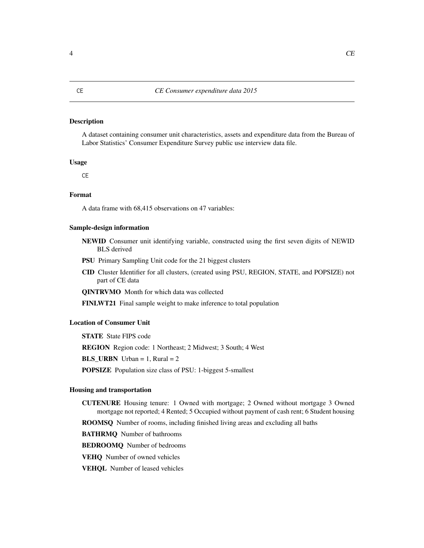# <span id="page-3-0"></span>**Description**

A dataset containing consumer unit characteristics, assets and expenditure data from the Bureau of Labor Statistics' Consumer Expenditure Survey public use interview data file.

#### Usage

**CE** 

## Format

A data frame with 68,415 observations on 47 variables:

#### Sample-design information

- NEWID Consumer unit identifying variable, constructed using the first seven digits of NEWID BLS derived
- PSU Primary Sampling Unit code for the 21 biggest clusters
- CID Cluster Identifier for all clusters, (created using PSU, REGION, STATE, and POPSIZE) not part of CE data

QINTRVMO Month for which data was collected

FINLWT21 Final sample weight to make inference to total population

#### Location of Consumer Unit

STATE State FIPS code REGION Region code: 1 Northeast; 2 Midwest; 3 South; 4 West **BLS** URBN Urban = 1, Rural = 2 POPSIZE Population size class of PSU: 1-biggest 5-smallest

#### Housing and transportation

- CUTENURE Housing tenure: 1 Owned with mortgage; 2 Owned without mortgage 3 Owned mortgage not reported; 4 Rented; 5 Occupied without payment of cash rent; 6 Student housing
- ROOMSQ Number of rooms, including finished living areas and excluding all baths

BATHRMQ Number of bathrooms

BEDROOMQ Number of bedrooms

VEHQ Number of owned vehicles

VEHQL Number of leased vehicles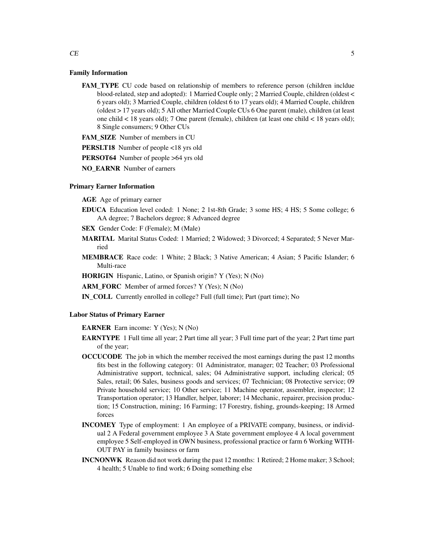#### Family Information

FAM TYPE CU code based on relationship of members to reference person (children incldue blood-related, step and adopted): 1 Married Couple only; 2 Married Couple, children (oldest < 6 years old); 3 Married Couple, children (oldest 6 to 17 years old); 4 Married Couple, children (oldest > 17 years old); 5 All other Married Couple CUs 6 One parent (male), children (at least one child < 18 years old); 7 One parent (female), children (at least one child < 18 years old); 8 Single consumers; 9 Other CUs

FAM\_SIZE Number of members in CU

PERSLT18 Number of people <18 yrs old

PERSOT64 Number of people >64 yrs old

NO\_EARNR Number of earners

# Primary Earner Information

AGE Age of primary earner

- EDUCA Education level coded: 1 None; 2 1st-8th Grade; 3 some HS; 4 HS; 5 Some college; 6 AA degree; 7 Bachelors degree; 8 Advanced degree
- SEX Gender Code: F (Female); M (Male)
- MARITAL Marital Status Coded: 1 Married; 2 Widowed; 3 Divorced; 4 Separated; 5 Never Married
- MEMBRACE Race code: 1 White; 2 Black; 3 Native American; 4 Asian; 5 Pacific Islander; 6 Multi-race

HORIGIN Hispanic, Latino, or Spanish origin? Y (Yes); N (No)

ARM\_FORC\_Member of armed forces? Y (Yes); N (No)

IN\_COLL Currently enrolled in college? Full (full time); Part (part time); No

#### Labor Status of Primary Earner

EARNER Earn income: Y (Yes); N (No)

- EARNTYPE 1 Full time all year; 2 Part time all year; 3 Full time part of the year; 2 Part time part of the year;
- OCCUCODE The job in which the member received the most earnings during the past 12 months fits best in the following category: 01 Administrator, manager; 02 Teacher; 03 Professional Administrative support, technical, sales; 04 Administrative support, including clerical; 05 Sales, retail; 06 Sales, business goods and services; 07 Technician; 08 Protective service; 09 Private household service; 10 Other service; 11 Machine operator, assembler, inspector; 12 Transportation operator; 13 Handler, helper, laborer; 14 Mechanic, repairer, precision production; 15 Construction, mining; 16 Farming; 17 Forestry, fishing, grounds-keeping; 18 Armed forces
- INCOMEY Type of employment: 1 An employee of a PRIVATE company, business, or individual 2 A Federal government employee 3 A State government employee 4 A local government employee 5 Self-employed in OWN business, professional practice or farm 6 Working WITH-OUT PAY in family business or farm
- INCNONWK Reason did not work during the past 12 months: 1 Retired; 2 Home maker; 3 School; 4 health; 5 Unable to find work; 6 Doing something else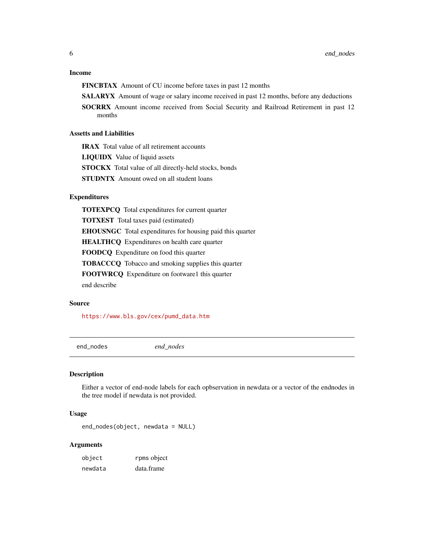#### <span id="page-5-0"></span>Income

FINCBTAX Amount of CU income before taxes in past 12 months

SALARYX Amount of wage or salary income received in past 12 months, before any deductions

SOCRRX Amount income received from Social Security and Railroad Retirement in past 12 months

#### Assetts and Liabilities

IRAX Total value of all retirement accounts

LIQUIDX Value of liquid assets

STOCKX Total value of all directly-held stocks, bonds

STUDNTX Amount owed on all student loans

#### Expenditures

TOTEXPCQ Total expenditures for current quarter TOTXEST Total taxes paid (estimated) EHOUSNGC Total expenditures for housing paid this quarter HEALTHCQ Expenditures on health care quarter FOODCQ Expenditure on food this quarter TOBACCCQ Tobacco and smoking supplies this quarter FOOTWRCQ Expenditure on footware1 this quarter end describe

#### Source

[https://www.bls.gov/cex/pumd\\_data.htm](https://www.bls.gov/cex/pumd_data.htm)

end\_nodes *end\_nodes*

#### Description

Either a vector of end-node labels for each opbservation in newdata or a vector of the endnodes in the tree model if newdata is not provided.

#### Usage

end\_nodes(object, newdata = NULL)

| object  | rpms object |
|---------|-------------|
| newdata | data.frame  |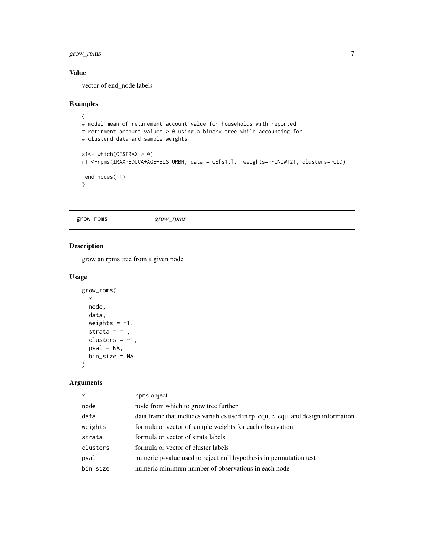# <span id="page-6-0"></span>grow\_rpms 7

# Value

vector of end\_node labels

#### Examples

```
{
# model mean of retirement account value for households with reported
# retirment account values > 0 using a binary tree while accounting for
# clusterd data and sample weights.
s1<- which(CE$IRAX > 0)
r1 <-rpms(IRAX~EDUCA+AGE+BLS_URBN, data = CE[s1,], weights=~FINLWT21, clusters=~CID)
end_nodes(r1)
}
```
grow\_rpms *grow\_rpms*

## Description

grow an rpms tree from a given node

#### Usage

```
grow_rpms(
  x,
  node,
  data,
  weights = -1,
  strata = -1,
  clusters = -1,
  pval = NA,
  bin_size = NA
\mathcal{E}
```

| $\mathsf{x}$ | rpms object                                                                       |
|--------------|-----------------------------------------------------------------------------------|
| node         | node from which to grow tree further                                              |
| data         | data. frame that includes variables used in rp_equ, e_equ, and design information |
| weights      | formula or vector of sample weights for each observation                          |
| strata       | formula or vector of strata labels                                                |
| clusters     | formula or vector of cluster labels                                               |
| pval         | numeric p-value used to reject null hypothesis in permutation test                |
| bin_size     | numeric minimum number of observations in each node                               |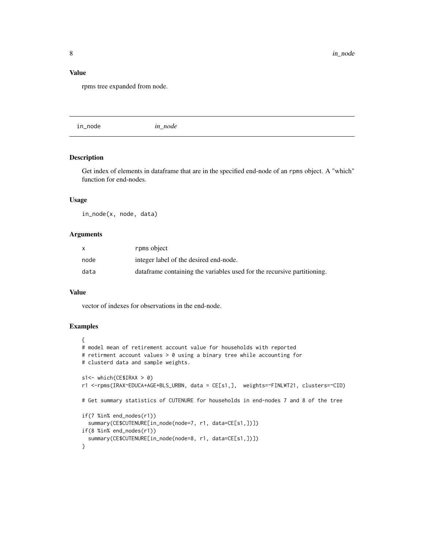#### <span id="page-7-0"></span>Value

rpms tree expanded from node.

in\_node *in\_node*

# Description

Get index of elements in dataframe that are in the specified end-node of an rpms object. A "which" function for end-nodes.

#### Usage

in\_node(x, node, data)

#### Arguments

|      | rpms object                                                              |
|------|--------------------------------------------------------------------------|
| node | integer label of the desired end-node.                                   |
| data | data frame containing the variables used for the recursive partitioning. |

#### Value

vector of indexes for observations in the end-node.

# Examples

```
{
# model mean of retirement account value for households with reported
# retirment account values > 0 using a binary tree while accounting for
# clusterd data and sample weights.
s1<- which(CE$IRAX > 0)
r1 <-rpms(IRAX~EDUCA+AGE+BLS_URBN, data = CE[s1,], weights=~FINLWT21, clusters=~CID)
# Get summary statistics of CUTENURE for households in end-nodes 7 and 8 of the tree
if(7 %in% end_nodes(r1))
  summary(CE$CUTENURE[in_node(node=7, r1, data=CE[s1,])])
if(8 %in% end_nodes(r1))
  summary(CE$CUTENURE[in_node(node=8, r1, data=CE[s1,])])
}
```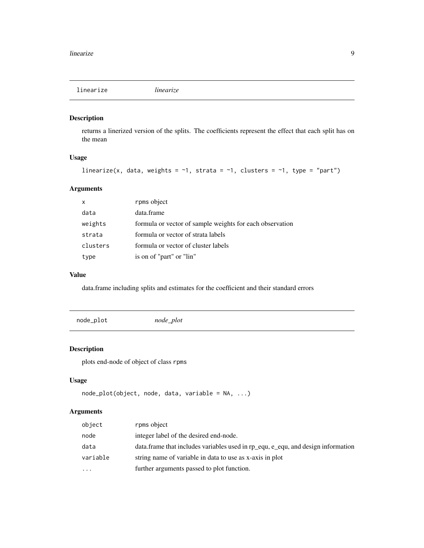<span id="page-8-0"></span>linearize *linearize*

# Description

returns a linerized version of the splits. The coefficients represent the effect that each split has on the mean

# Usage

```
linearize(x, data, weights = \sim1, strata = \sim1, clusters = \sim1, type = "part")
```
# Arguments

| $\mathsf{x}$ | rpms object                                              |
|--------------|----------------------------------------------------------|
| data         | data.frame                                               |
| weights      | formula or vector of sample weights for each observation |
| strata       | formula or vector of strata labels                       |
| clusters     | formula or vector of cluster labels                      |
| type         | is on of "part" or "lin"                                 |

# Value

data.frame including splits and estimates for the coefficient and their standard errors

| node_plot | $node\_plot$ |
|-----------|--------------|
|           |              |

# Description

plots end-node of object of class rpms

# Usage

```
node_plot(object, node, data, variable = NA, ...)
```

| object   | rpms object                                                                       |
|----------|-----------------------------------------------------------------------------------|
| node     | integer label of the desired end-node.                                            |
| data     | data. frame that includes variables used in rp_equ, e_equ, and design information |
| variable | string name of variable in data to use as x-axis in plot                          |
| .        | further arguments passed to plot function.                                        |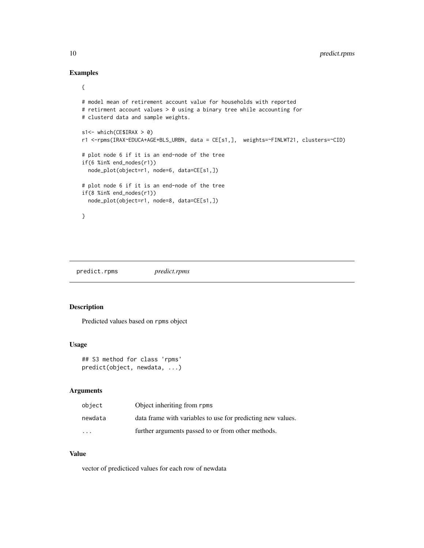# Examples

```
{
```

```
# model mean of retirement account value for households with reported
# retirment account values > 0 using a binary tree while accounting for
# clusterd data and sample weights.
s1<- which(CE$IRAX > 0)
r1 <-rpms(IRAX~EDUCA+AGE+BLS_URBN, data = CE[s1,], weights=~FINLWT21, clusters=~CID)
# plot node 6 if it is an end-node of the tree
if(6 %in% end_nodes(r1))
  node_plot(object=r1, node=6, data=CE[s1,])
# plot node 6 if it is an end-node of the tree
if(8 %in% end_nodes(r1))
  node_plot(object=r1, node=8, data=CE[s1,])
}
```
predict.rpms *predict.rpms*

#### Description

Predicted values based on rpms object

# Usage

```
## S3 method for class 'rpms'
predict(object, newdata, ...)
```
#### Arguments

| object  | Object inheriting from rpms                                 |
|---------|-------------------------------------------------------------|
| newdata | data frame with variables to use for predicting new values. |
| $\cdot$ | further arguments passed to or from other methods.          |

# Value

vector of predicticed values for each row of newdata

<span id="page-9-0"></span>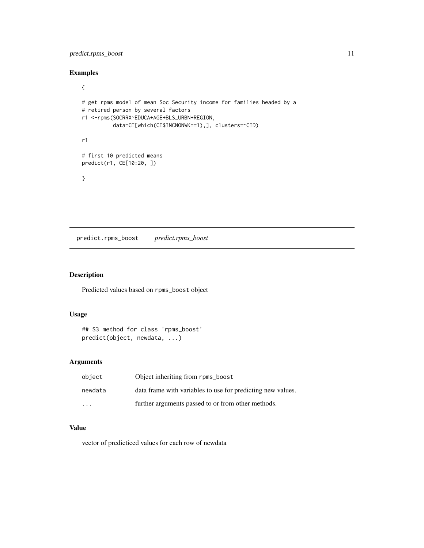# <span id="page-10-0"></span>predict.rpms\_boost 11

# Examples

```
{
# get rpms model of mean Soc Security income for families headed by a
# retired person by several factors
r1 <-rpms(SOCRRX~EDUCA+AGE+BLS_URBN+REGION,
          data=CE[which(CE$INCNONWK==1),], clusters=~CID)
r1
# first 10 predicted means
predict(r1, CE[10:20, ])
}
```
predict.rpms\_boost *predict.rpms\_boost*

# Description

Predicted values based on rpms\_boost object

#### Usage

```
## S3 method for class 'rpms_boost'
predict(object, newdata, ...)
```
# Arguments

| object   | Object inheriting from rpms_boost                           |
|----------|-------------------------------------------------------------|
| newdata  | data frame with variables to use for predicting new values. |
| $\cdots$ | further arguments passed to or from other methods.          |

# Value

vector of predicticed values for each row of newdata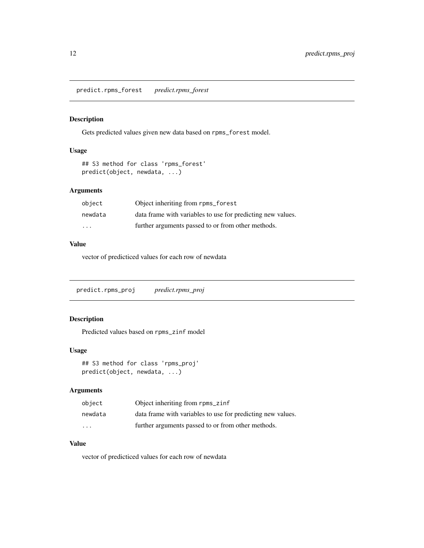<span id="page-11-0"></span>predict.rpms\_forest *predict.rpms\_forest*

# Description

Gets predicted values given new data based on rpms\_forest model.

# Usage

```
## S3 method for class 'rpms_forest'
predict(object, newdata, ...)
```
# Arguments

| object  | Object inheriting from rpms_forest                          |
|---------|-------------------------------------------------------------|
| newdata | data frame with variables to use for predicting new values. |
| .       | further arguments passed to or from other methods.          |

# Value

vector of predicticed values for each row of newdata

predict.rpms\_proj *predict.rpms\_proj*

# Description

Predicted values based on rpms\_zinf model

#### Usage

```
## S3 method for class 'rpms_proj'
predict(object, newdata, ...)
```
#### Arguments

| object   | Object inheriting from rpms_zinf                            |
|----------|-------------------------------------------------------------|
| newdata  | data frame with variables to use for predicting new values. |
| $\cdots$ | further arguments passed to or from other methods.          |

## Value

vector of predicticed values for each row of newdata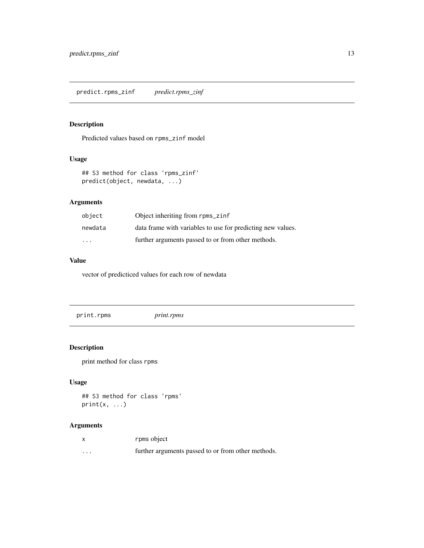# <span id="page-12-0"></span>Description

Predicted values based on rpms\_zinf model

# Usage

```
## S3 method for class 'rpms_zinf'
predict(object, newdata, ...)
```
# Arguments

| object  | Object inheriting from rpms_zinf                            |
|---------|-------------------------------------------------------------|
| newdata | data frame with variables to use for predicting new values. |
| $\cdot$ | further arguments passed to or from other methods.          |

#### Value

vector of predicticed values for each row of newdata

print.rpms *print.rpms*

# Description

print method for class rpms

# Usage

```
## S3 method for class 'rpms'
print(x, \ldots)
```

|          | rpms object                                        |
|----------|----------------------------------------------------|
| $\cdots$ | further arguments passed to or from other methods. |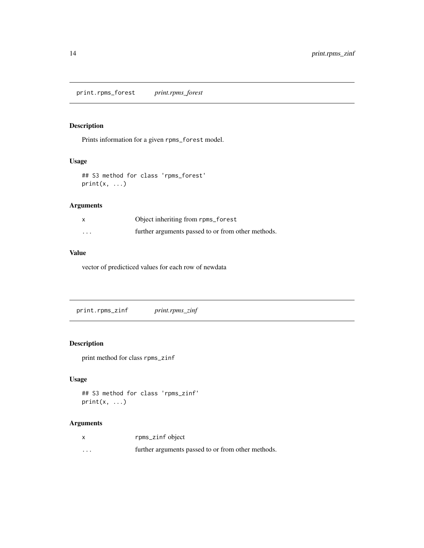<span id="page-13-0"></span>print.rpms\_forest *print.rpms\_forest*

# Description

Prints information for a given rpms\_forest model.

# Usage

## S3 method for class 'rpms\_forest'  $print(x, \ldots)$ 

# Arguments

|                         | Object inheriting from rpms_forest                 |
|-------------------------|----------------------------------------------------|
| $\cdot$ $\cdot$ $\cdot$ | further arguments passed to or from other methods. |

# Value

vector of predicticed values for each row of newdata

print.rpms\_zinf *print.rpms\_zinf*

# Description

print method for class rpms\_zinf

# Usage

```
## S3 method for class 'rpms_zinf'
print(x, \ldots)
```

| $\boldsymbol{\mathsf{x}}$ | rpms_zinf object                                   |
|---------------------------|----------------------------------------------------|
| $\cdots$                  | further arguments passed to or from other methods. |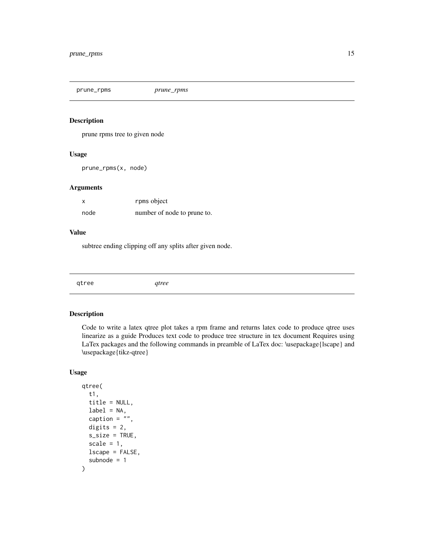<span id="page-14-0"></span>prune\_rpms *prune\_rpms*

#### Description

prune rpms tree to given node

#### Usage

prune\_rpms(x, node)

#### Arguments

| X    | rpms object                 |
|------|-----------------------------|
| node | number of node to prune to. |

### Value

subtree ending clipping off any splits after given node.

|--|

# Description

Code to write a latex qtree plot takes a rpm frame and returns latex code to produce qtree uses linearize as a guide Produces text code to produce tree structure in tex document Requires using LaTex packages and the following commands in preamble of LaTex doc: \usepackage{lscape} and \usepackage{tikz-qtree}

#### Usage

```
qtree(
  t1,
  title = NULL,
  label = NA,
  caption = ",
  digits = 2,
  s_size = TRUE,
  scale = 1,
  lscape = FALSE,
  subnode = 1
\mathcal{E}
```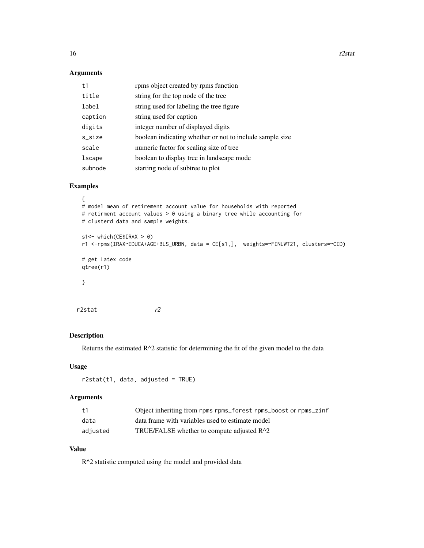# Arguments

| t1      | rpms object created by rpms function                     |
|---------|----------------------------------------------------------|
| title   | string for the top node of the tree                      |
| label   | string used for labeling the tree figure                 |
| caption | string used for caption                                  |
| digits  | integer number of displayed digits                       |
| s_size  | boolean indicating whether or not to include sample size |
| scale   | numeric factor for scaling size of tree                  |
| lscape  | boolean to display tree in landscape mode                |
| subnode | starting node of subtree to plot                         |

# Examples

```
{
# model mean of retirement account value for households with reported
# retirment account values > 0 using a binary tree while accounting for
# clusterd data and sample weights.
s1<- which(CE$IRAX > 0)
r1 <-rpms(IRAX~EDUCA+AGE+BLS_URBN, data = CE[s1,], weights=~FINLWT21, clusters=~CID)
# get Latex code
qtree(r1)
}
```

| r2stat | r2 |
|--------|----|
|        |    |

# Description

Returns the estimated  $R^2$  statistic for determining the fit of the given model to the data

# Usage

r2stat(t1, data, adjusted = TRUE)

#### Arguments

| +1       | Object inheriting from rpms rpms_forest rpms_boost or rpms_zinf |
|----------|-----------------------------------------------------------------|
| data     | data frame with variables used to estimate model                |
| adjusted | TRUE/FALSE whether to compute adjusted $R^2$                    |

# Value

R^2 statistic computed using the model and provided data

<span id="page-15-0"></span>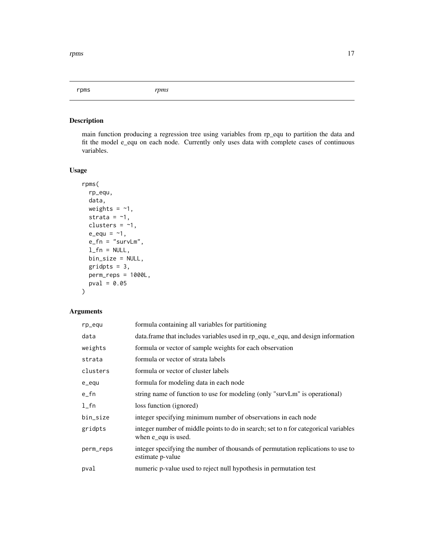<span id="page-16-0"></span>rpms *rpms*

# Description

main function producing a regression tree using variables from rp\_equ to partition the data and fit the model e\_equ on each node. Currently only uses data with complete cases of continuous variables.

# Usage

```
rpms(
  rp_equ,
  data,
 weights = ~1,
 strata = -1,
 clusters = -1,
  e_{equ} = -1,
 e_f n = "survLm",l_fn = NULL,
 bin_size = NULL,
  gridpts = 3,
 perm_reps = 1000L,
 pval = 0.05)
```

| rp_equ    | formula containing all variables for partitioning                                                          |
|-----------|------------------------------------------------------------------------------------------------------------|
| data      | data.frame that includes variables used in rp_equ, e_equ, and design information                           |
| weights   | formula or vector of sample weights for each observation                                                   |
| strata    | formula or vector of strata labels                                                                         |
| clusters  | formula or vector of cluster labels                                                                        |
| e_equ     | formula for modeling data in each node                                                                     |
| e_fn      | string name of function to use for modeling (only "survLm" is operational)                                 |
| $1$ _fn   | loss function (ignored)                                                                                    |
| bin_size  | integer specifying minimum number of observations in each node                                             |
| gridpts   | integer number of middle points to do in search; set to n for categorical variables<br>when e_equ is used. |
| perm_reps | integer specifying the number of thousands of permutation replications to use to<br>estimate p-value       |
| pval      | numeric p-value used to reject null hypothesis in permutation test                                         |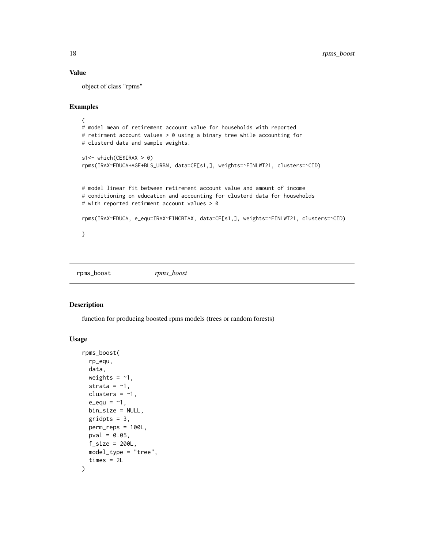#### Value

object of class "rpms"

## Examples

```
{
# model mean of retirement account value for households with reported
# retirment account values > 0 using a binary tree while accounting for
# clusterd data and sample weights.
s1<- which(CE$IRAX > 0)
rpms(IRAX~EDUCA+AGE+BLS_URBN, data=CE[s1,], weights=~FINLWT21, clusters=~CID)
# model linear fit between retirement account value and amount of income
# conditioning on education and accounting for clusterd data for households
# with reported retirment account values > 0
rpms(IRAX~EDUCA, e_equ=IRAX~FINCBTAX, data=CE[s1,], weights=~FINLWT21, clusters=~CID)
}
```
rpms\_boost *rpms\_boost*

#### Description

function for producing boosted rpms models (trees or random forests)

#### Usage

```
rpms_boost(
  rp_equ,
 data,
 weights = -1,
 strata = -1,
 clusters = -1,
  e_{equ} = -1,
 bin_size = NULL,
 gridpts = 3,
 perm_reps = 100L,
 pval = 0.05,
 f\_size = 200L,model_type = "tree",
  times = 2L
)
```
<span id="page-17-0"></span>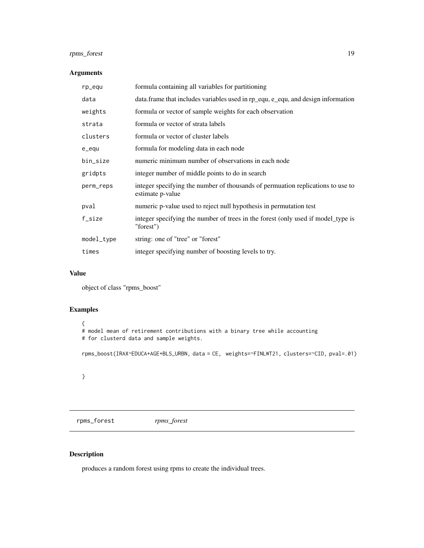# <span id="page-18-0"></span>rpms\_forest 19

# Arguments

| rp_equ     | formula containing all variables for partitioning                                                   |
|------------|-----------------------------------------------------------------------------------------------------|
| data       | data.frame that includes variables used in rp_equ, e_equ, and design information                    |
| weights    | formula or vector of sample weights for each observation                                            |
| strata     | formula or vector of strata labels                                                                  |
| clusters   | formula or vector of cluster labels                                                                 |
| e_equ      | formula for modeling data in each node                                                              |
| bin_size   | numeric minimum number of observations in each node                                                 |
| gridpts    | integer number of middle points to do in search                                                     |
| perm_reps  | integer specifying the number of thousands of permuation replications to use to<br>estimate p-value |
| pval       | numeric p-value used to reject null hypothesis in permutation test                                  |
| f_size     | integer specifying the number of trees in the forest (only used if model_type is<br>"forest")       |
| model_type | string: one of "tree" or "forest"                                                                   |
| times      | integer specifying number of boosting levels to try.                                                |

#### Value

object of class "rpms\_boost"

# Examples

```
{
# model mean of retirement contributions with a binary tree while accounting
# for clusterd data and sample weights.
rpms_boost(IRAX~EDUCA+AGE+BLS_URBN, data = CE, weights=~FINLWT21, clusters=~CID, pval=.01)
```
}

rpms\_forest *rpms\_forest*

# Description

produces a random forest using rpms to create the individual trees.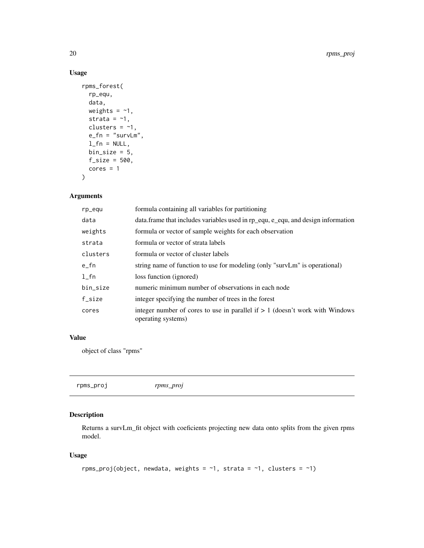# Usage

```
rpms_forest(
 rp_equ,
 data,
 weights = -1,
 strata = -1,
 clusters = -1,
 e_f n = "survLm",l_fn = NULL,
 bin\_size = 5,
 f\_size = 500,
 cores = 1\mathcal{L}
```
# Arguments

| rp_equ    | formula containing all variables for partitioning                                                    |
|-----------|------------------------------------------------------------------------------------------------------|
| data      | data. frame that includes variables used in rp_equ, e_equ, and design information                    |
| weights   | formula or vector of sample weights for each observation                                             |
| strata    | formula or vector of strata labels                                                                   |
| clusters  | formula or vector of cluster labels                                                                  |
| $e_{f}$ n | string name of function to use for modeling (only "survLm" is operational)                           |
| $1$ _fn   | loss function (ignored)                                                                              |
| bin_size  | numeric minimum number of observations in each node                                                  |
| f_size    | integer specifying the number of trees in the forest                                                 |
| cores     | integer number of cores to use in parallel if $> 1$ (doesn't work with Windows<br>operating systems) |

#### Value

object of class "rpms"

| rpms proj | rpms_proj |
|-----------|-----------|
|-----------|-----------|

# Description

Returns a survLm\_fit object with coeficients projecting new data onto splits from the given rpms model.

# Usage

```
rpms_proj(object, newdata, weights = \sim1, strata = \sim1, clusters = \sim1)
```
<span id="page-19-0"></span>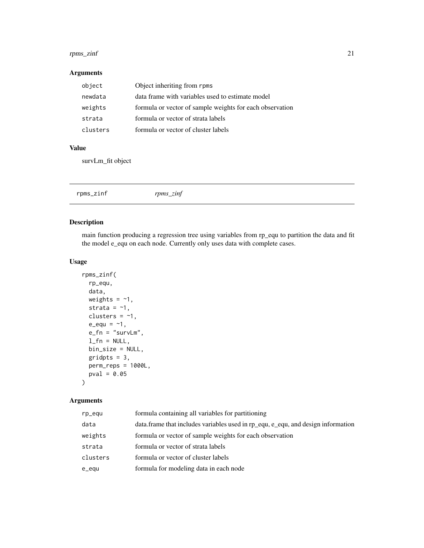# <span id="page-20-0"></span>rpms\_zinf 21

# Arguments

| object   | Object inheriting from rpms                              |
|----------|----------------------------------------------------------|
| newdata  | data frame with variables used to estimate model         |
| weights  | formula or vector of sample weights for each observation |
| strata   | formula or vector of strata labels                       |
| clusters | formula or vector of cluster labels                      |

#### Value

survLm\_fit object

|  | rpms_zinf | rpms_zinf |  |  |
|--|-----------|-----------|--|--|
|--|-----------|-----------|--|--|

# Description

main function producing a regression tree using variables from rp\_equ to partition the data and fit the model e\_equ on each node. Currently only uses data with complete cases.

# Usage

```
rpms_zinf(
 rp_equ,
 data,
 weights = -1,
 strata = -1,
 clusters = -1,
 e_{equ} = -1,
 e_f n = "survLm",l_fn = NULL,
 bin_size = NULL,
 gridpts = 3,
 perm_reps = 1000L,
 pval = 0.05\mathcal{E}
```

| rp_equ   | formula containing all variables for partitioning                                |
|----------|----------------------------------------------------------------------------------|
| data     | data frame that includes variables used in rp equ, e equ, and design information |
| weights  | formula or vector of sample weights for each observation                         |
| strata   | formula or vector of strata labels                                               |
| clusters | formula or vector of cluster labels                                              |
| e_equ    | formula for modeling data in each node                                           |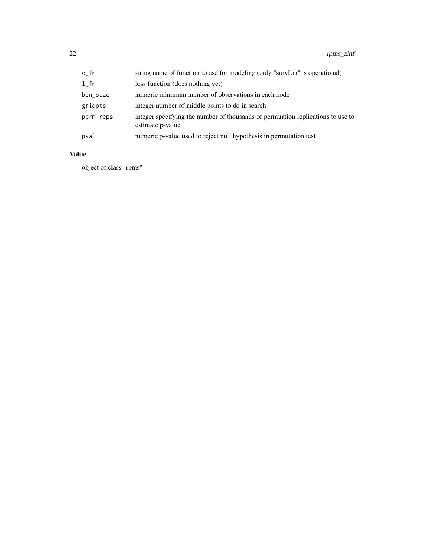| $e_{f}$ n | string name of function to use for modeling (only "survLm" is operational)                          |
|-----------|-----------------------------------------------------------------------------------------------------|
| $1$ _fn   | loss function (does nothing yet)                                                                    |
| bin_size  | numeric minimum number of observations in each node                                                 |
| gridpts   | integer number of middle points to do in search                                                     |
| perm_reps | integer specifying the number of thousands of permuation replications to use to<br>estimate p-value |
| pval      | numeric p-value used to reject null hypothesis in permutation test                                  |

# Value

object of class "rpms"